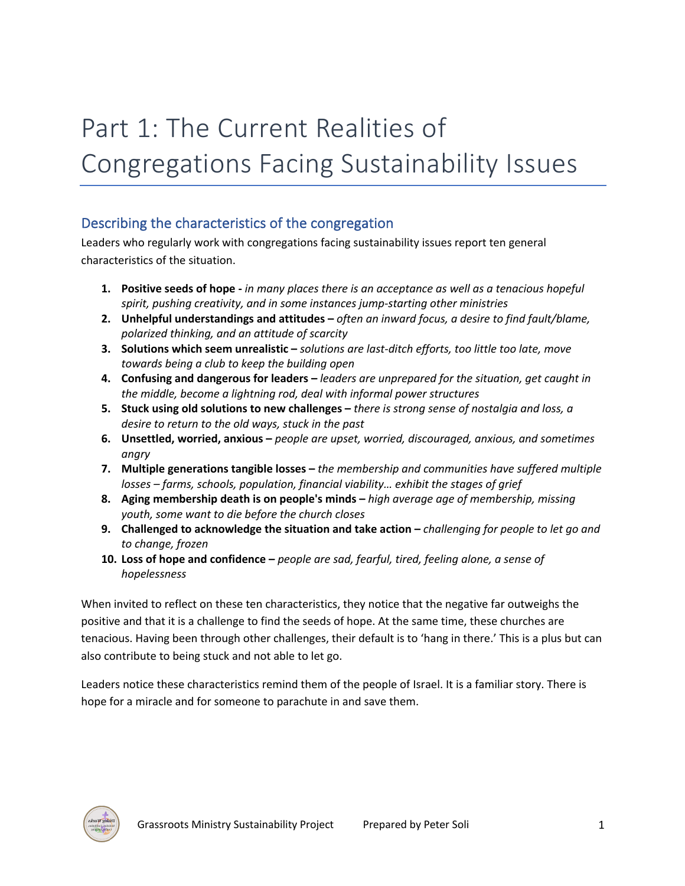# Part 1: The Current Realities of Congregations Facing Sustainability Issues

## Describing the characteristics of the congregation

Leaders who regularly work with congregations facing sustainability issues report ten general characteristics of the situation.

- **1. Positive seeds of hope -** *in many places there is an acceptance as well as a tenacious hopeful spirit, pushing creativity, and in some instances jump-starting other ministries*
- **2. Unhelpful understandings and attitudes –** *often an inward focus, a desire to find fault/blame, polarized thinking, and an attitude of scarcity*
- **3. Solutions which seem unrealistic –** *solutions are last-ditch efforts, too little too late, move towards being a club to keep the building open*
- **4. Confusing and dangerous for leaders –** *leaders are unprepared for the situation, get caught in the middle, become a lightning rod, deal with informal power structures*
- **5. Stuck using old solutions to new challenges –** *there is strong sense of nostalgia and loss, a desire to return to the old ways, stuck in the past*
- **6. Unsettled, worried, anxious –** *people are upset, worried, discouraged, anxious, and sometimes angry*
- **7. Multiple generations tangible losses –** *the membership and communities have suffered multiple losses – farms, schools, population, financial viability… exhibit the stages of grief*
- **8. Aging membership death is on people's minds –** *high average age of membership, missing youth, some want to die before the church closes*
- **9. Challenged to acknowledge the situation and take action –** *challenging for people to let go and to change, frozen*
- **10. Loss of hope and confidence –** *people are sad, fearful, tired, feeling alone, a sense of hopelessness*

When invited to reflect on these ten characteristics, they notice that the negative far outweighs the positive and that it is a challenge to find the seeds of hope. At the same time, these churches are tenacious. Having been through other challenges, their default is to 'hang in there.' This is a plus but can also contribute to being stuck and not able to let go.

Leaders notice these characteristics remind them of the people of Israel. It is a familiar story. There is hope for a miracle and for someone to parachute in and save them.

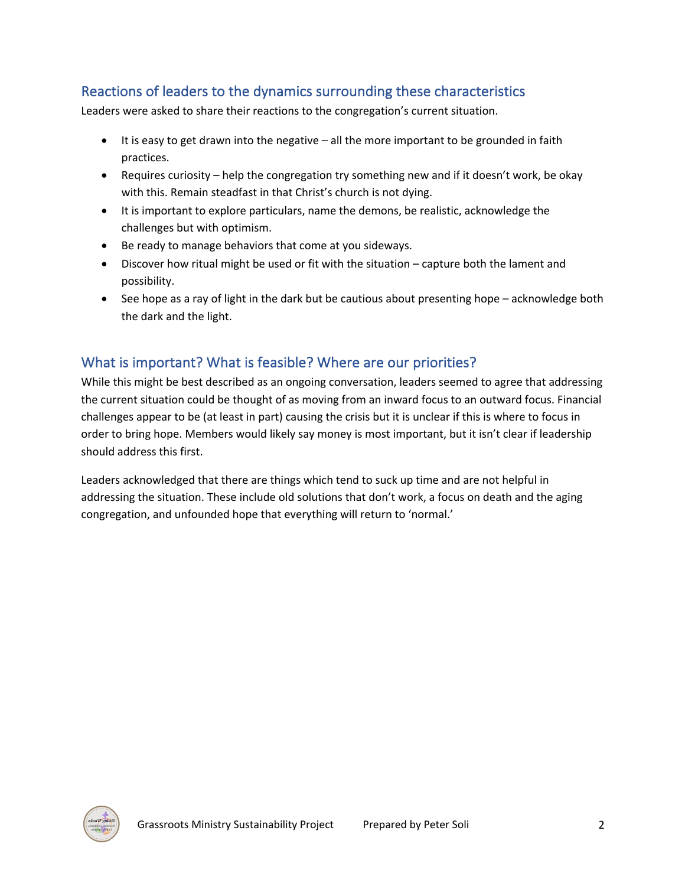## Reactions of leaders to the dynamics surrounding these characteristics

Leaders were asked to share their reactions to the congregation's current situation.

- It is easy to get drawn into the negative all the more important to be grounded in faith practices.
- Requires curiosity help the congregation try something new and if it doesn't work, be okay with this. Remain steadfast in that Christ's church is not dying.
- It is important to explore particulars, name the demons, be realistic, acknowledge the challenges but with optimism.
- Be ready to manage behaviors that come at you sideways.
- Discover how ritual might be used or fit with the situation capture both the lament and possibility.
- See hope as a ray of light in the dark but be cautious about presenting hope acknowledge both the dark and the light.

### What is important? What is feasible? Where are our priorities?

While this might be best described as an ongoing conversation, leaders seemed to agree that addressing the current situation could be thought of as moving from an inward focus to an outward focus. Financial challenges appear to be (at least in part) causing the crisis but it is unclear if this is where to focus in order to bring hope. Members would likely say money is most important, but it isn't clear if leadership should address this first.

Leaders acknowledged that there are things which tend to suck up time and are not helpful in addressing the situation. These include old solutions that don't work, a focus on death and the aging congregation, and unfounded hope that everything will return to 'normal.'

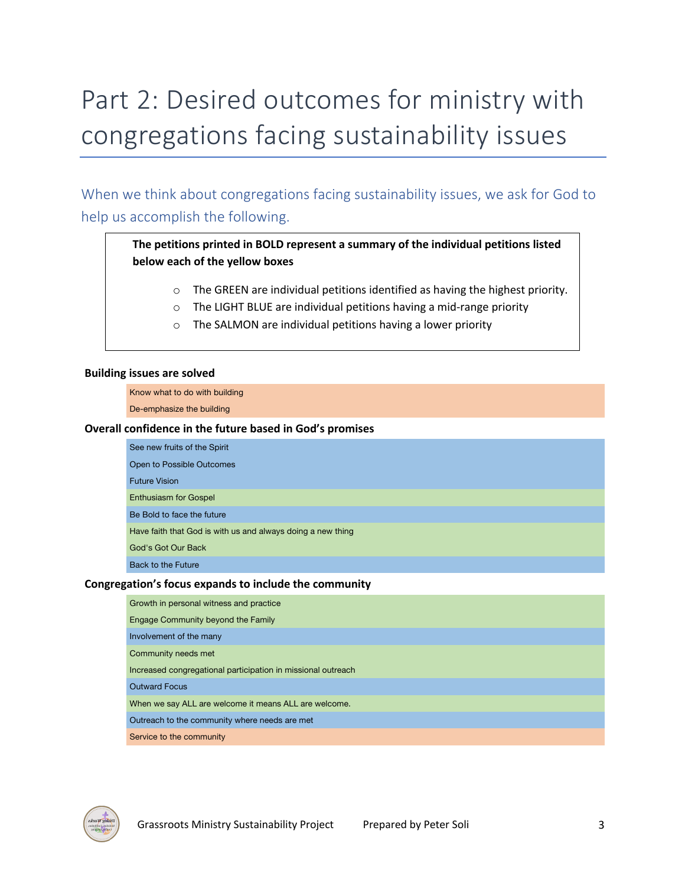## Part 2: Desired outcomes for ministry with congregations facing sustainability issues

When we think about congregations facing sustainability issues, we ask for God to help us accomplish the following.

### **The petitions printed in BOLD represent a summary of the individual petitions listed below each of the yellow boxes**

- o The GREEN are individual petitions identified as having the highest priority.
- o The LIGHT BLUE are individual petitions having a mid-range priority
- o The SALMON are individual petitions having a lower priority

#### **Building issues are solved**

Know what to do with building

De-emphasize the building

#### **Overall confidence in the future based in God's promises**

| See new fruits of the Spirit                                |
|-------------------------------------------------------------|
| Open to Possible Outcomes                                   |
| <b>Future Vision</b>                                        |
| <b>Enthusiasm for Gospel</b>                                |
| Be Bold to face the future                                  |
| Have faith that God is with us and always doing a new thing |
| God's Got Our Back                                          |
| Back to the Future                                          |

#### **Congregation's focus expands to include the community**

| Growth in personal witness and practice                      |
|--------------------------------------------------------------|
| Engage Community beyond the Family                           |
| Involvement of the many                                      |
| Community needs met                                          |
| Increased congregational participation in missional outreach |
| <b>Outward Focus</b>                                         |
| When we say ALL are welcome it means ALL are welcome.        |
| Outreach to the community where needs are met                |
| Service to the community                                     |